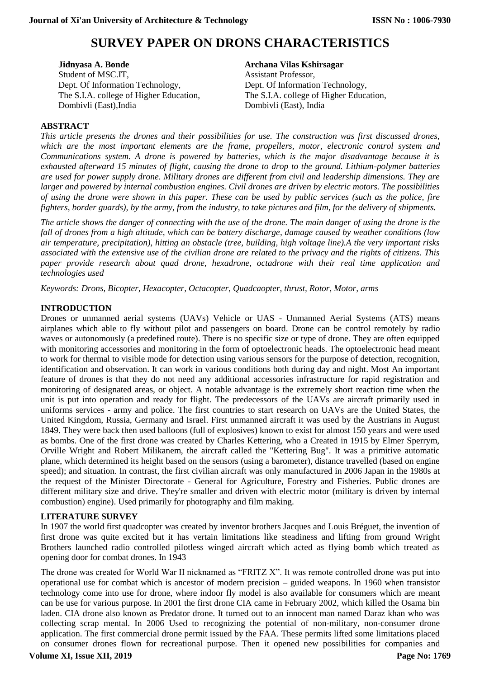# **SURVEY PAPER ON DRONS CHARACTERISTICS**

**Jidnyasa A. Bonde** Student of MSC.IT, Dept. Of Information Technology, The S.I.A. college of Higher Education, Dombivli (East),India

**Archana Vilas Kshirsagar**

Assistant Professor, Dept. Of Information Technology, The S.I.A. college of Higher Education, Dombivli (East), India

## **ABSTRACT**

*This article presents the drones and their possibilities for use. The construction was first discussed drones, which are the most important elements are the frame, propellers, motor, electronic control system and Communications system. A drone is powered by batteries, which is the major disadvantage because it is exhausted afterward 15 minutes of flight, causing the drone to drop to the ground. Lithium-polymer batteries are used for power supply drone. Military drones are different from civil and leadership dimensions. They are larger and powered by internal combustion engines. Civil drones are driven by electric motors. The possibilities of using the drone were shown in this paper. These can be used by public services (such as the police, fire fighters, border guards), by the army, from the industry, to take pictures and film, for the delivery of shipments.*

*The article shows the danger of connecting with the use of the drone. The main danger of using the drone is the fall of drones from a high altitude, which can be battery discharge, damage caused by weather conditions (low air temperature, precipitation), hitting an obstacle (tree, building, high voltage line).A the very important risks associated with the extensive use of the civilian drone are related to the privacy and the rights of citizens. This paper provide research about quad drone, hexadrone, octadrone with their real time application and technologies used*

*Keywords: Drons, Bicopter, Hexacopter, Octacopter, Quadcaopter, thrust, Rotor, Motor, arms*

#### **INTRODUCTION**

Drones or unmanned aerial systems (UAVs) Vehicle or UAS - Unmanned Aerial Systems (ATS) means airplanes which able to fly without pilot and passengers on board. Drone can be control remotely by radio waves or autonomously (a predefined route). There is no specific size or type of drone. They are often equipped with monitoring accessories and monitoring in the form of optoelectronic heads. The optoelectronic head meant to work for thermal to visible mode for detection using various sensors for the purpose of detection, recognition, identification and observation. It can work in various conditions both during day and night. Most An important feature of drones is that they do not need any additional accessories infrastructure for rapid registration and monitoring of designated areas, or object. A notable advantage is the extremely short reaction time when the unit is put into operation and ready for flight. The predecessors of the UAVs are aircraft primarily used in uniforms services - army and police. The first countries to start research on UAVs are the United States, the United Kingdom, Russia, Germany and Israel. First unmanned aircraft it was used by the Austrians in August 1849. They were back then used balloons (full of explosives) known to exist for almost 150 years and were used as bombs. One of the first drone was created by Charles Kettering, who a Created in 1915 by Elmer Sperrym, Orville Wright and Robert Milikanem, the aircraft called the "Kettering Bug". It was a primitive automatic plane, which determined its height based on the sensors (using a barometer), distance travelled (based on engine speed); and situation. In contrast, the first civilian aircraft was only manufactured in 2006 Japan in the 1980s at the request of the Minister Directorate - General for Agriculture, Forestry and Fisheries. Public drones are different military size and drive. They're smaller and driven with electric motor (military is driven by internal combustion) engine). Used primarily for photography and film making.

## **LITERATURE SURVEY**

In 1907 the world first quadcopter was created by inventor brothers Jacques and Louis Bréguet, the invention of first drone was quite excited but it has vertain limitations like steadiness and lifting from ground Wright Brothers launched radio controlled pilotless winged aircraft which acted as flying bomb which treated as opening door for combat drones. In 1943

The drone was created for World War II nicknamed as "FRITZ X". It was remote controlled drone was put into operational use for combat which is ancestor of modern precision – guided weapons. In 1960 when transistor technology come into use for drone, where indoor fly model is also available for consumers which are meant can be use for various purpose. In 2001 the first drone CIA came in February 2002, which killed the Osama bin laden. CIA drone also known as Predator drone. It turned out to an innocent man named Daraz khan who was collecting scrap mental. In 2006 Used to recognizing the potential of non-military, non-consumer drone application. The first commercial drone permit issued by the FAA. These permits lifted some limitations placed on consumer drones flown for recreational purpose. Then it opened new possibilities for companies and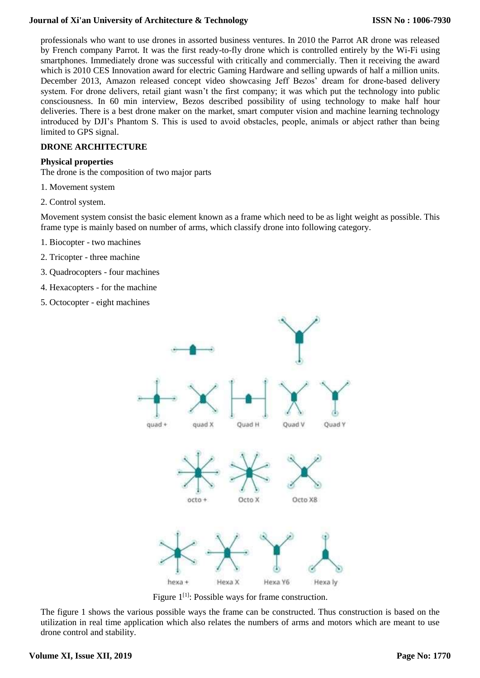professionals who want to use drones in assorted business ventures. In 2010 the Parrot AR drone was released by French company Parrot. It was the first ready-to-fly drone which is controlled entirely by the Wi-Fi using smartphones. Immediately drone was successful with critically and commercially. Then it receiving the award which is 2010 CES Innovation award for electric Gaming Hardware and selling upwards of half a million units. December 2013, Amazon released concept video showcasing Jeff Bezos' dream for drone-based delivery system. For drone delivers, retail giant wasn't the first company; it was which put the technology into public consciousness. In 60 min interview, Bezos described possibility of using technology to make half hour deliveries. There is a best drone maker on the market, smart computer vision and machine learning technology introduced by DJI's Phantom S. This is used to avoid obstacles, people, animals or abject rather than being limited to GPS signal.

## **DRONE ARCHITECTURE**

#### **Physical properties**

The drone is the composition of two major parts

- 1. Movement system
- 2. Control system.

Movement system consist the basic element known as a frame which need to be as light weight as possible. This frame type is mainly based on number of arms, which classify drone into following category.

- 1. Biocopter two machines
- 2. Tricopter three machine
- 3. Quadrocopters four machines
- 4. Hexacopters for the machine
- 5. Octocopter eight machines



Figure  $1^{[1]}$ : Possible ways for frame construction.

The figure 1 shows the various possible ways the frame can be constructed. Thus construction is based on the utilization in real time application which also relates the numbers of arms and motors which are meant to use drone control and stability.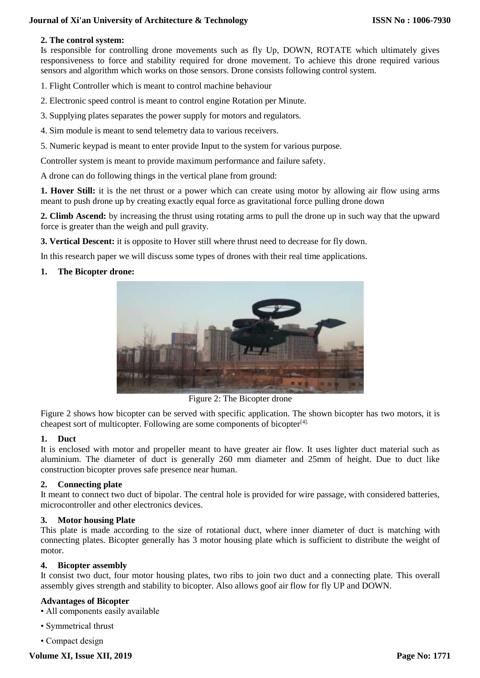#### **2. The control system:**

Is responsible for controlling drone movements such as fly Up, DOWN, ROTATE which ultimately gives responsiveness to force and stability required for drone movement. To achieve this drone required various sensors and algorithm which works on those sensors. Drone consists following control system.

1. Flight Controller which is meant to control machine behaviour

2. Electronic speed control is meant to control engine Rotation per Minute.

3. Supplying plates separates the power supply for motors and regulators.

- 4. Sim module is meant to send telemetry data to various receivers.
- 5. Numeric keypad is meant to enter provide Input to the system for various purpose.

Controller system is meant to provide maximum performance and failure safety.

A drone can do following things in the vertical plane from ground:

**1. Hover Still:** it is the net thrust or a power which can create using motor by allowing air flow using arms meant to push drone up by creating exactly equal force as gravitational force pulling drone down

**2. Climb Ascend:** by increasing the thrust using rotating arms to pull the drone up in such way that the upward force is greater than the weigh and pull gravity.

**3. Vertical Descent:** it is opposite to Hover still where thrust need to decrease for fly down.

In this research paper we will discuss some types of drones with their real time applications.

# **1. The Bicopter drone:**



Figure 2: The Bicopter drone

Figure 2 shows how bicopter can be served with specific application. The shown bicopter has two motors, it is cheapest sort of multicopter. Following are some components of bicopter<sup>[4].</sup>

#### **1. Duct**

It is enclosed with motor and propeller meant to have greater air flow. It uses lighter duct material such as aluminium. The diameter of duct is generally 260 mm diameter and 25mm of height. Due to duct like construction bicopter proves safe presence near human.

#### **2. Connecting plate**

It meant to connect two duct of bipolar. The central hole is provided for wire passage, with considered batteries, microcontroller and other electronics devices.

#### **3. Motor housing Plate**

This plate is made according to the size of rotational duct, where inner diameter of duct is matching with connecting plates. Bicopter generally has 3 motor housing plate which is sufficient to distribute the weight of motor.

#### **4. Bicopter assembly**

It consist two duct, four motor housing plates, two ribs to join two duct and a connecting plate. This overall assembly gives strength and stability to bicopter. Also allows goof air flow for fly UP and DOWN.

#### **Advantages of Bicopter**

• All components easily available

- Symmetrical thrust
- Compact design

**Volume XI, Issue XII, 2019**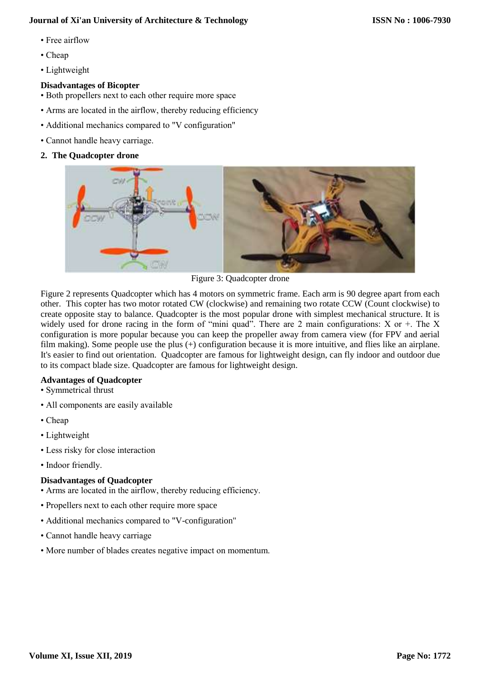- Free airflow
- Cheap
- Lightweight

# **Disadvantages of Bicopter**

- Both propellers next to each other require more space
- Arms are located in the airflow, thereby reducing efficiency
- Additional mechanics compared to "V configuration"
- Cannot handle heavy carriage.
- **2. The Quadcopter drone**



Figure 3: Quadcopter drone

Figure 2 represents Quadcopter which has 4 motors on symmetric frame. Each arm is 90 degree apart from each other. This copter has two motor rotated CW (clockwise) and remaining two rotate CCW (Count clockwise) to create opposite stay to balance. Quadcopter is the most popular drone with simplest mechanical structure. It is widely used for drone racing in the form of "mini quad". There are 2 main configurations:  $X$  or  $+$ . The  $X$ configuration is more popular because you can keep the propeller away from camera view (for FPV and aerial film making). Some people use the plus (+) configuration because it is more intuitive, and flies like an airplane. It's easier to find out orientation. Quadcopter are famous for lightweight design, can fly indoor and outdoor due to its compact blade size. Quadcopter are famous for lightweight design.

#### **Advantages of Quadcopter**

- Symmetrical thrust
- All components are easily available
- Cheap
- Lightweight
- Less risky for close interaction
- Indoor friendly.

# **Disadvantages of Quadcopter**

- Arms are located in the airflow, thereby reducing efficiency.
- Propellers next to each other require more space
- Additional mechanics compared to "V-configuration"
- Cannot handle heavy carriage
- More number of blades creates negative impact on momentum.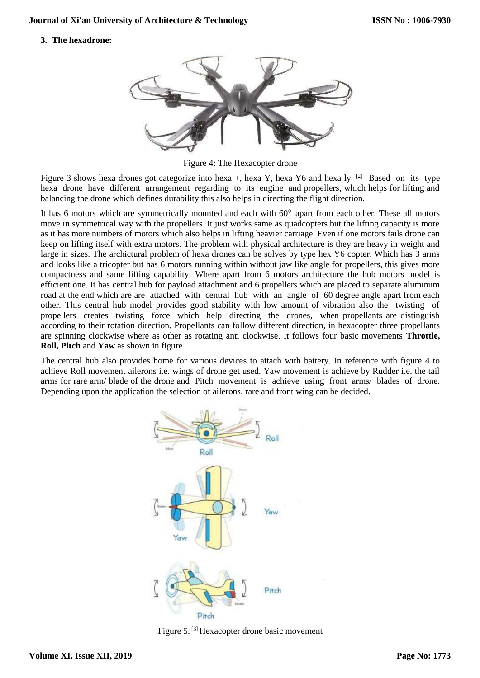**3. The hexadrone:**



Figure 4: The Hexacopter drone

Figure 3 shows hexa drones got categorize into hexa +, hexa Y, hexa Y6 and hexa ly. [2] Based on its type hexa drone have different arrangement regarding to its engine and propellers, which helps for lifting and balancing the drone which defines durability this also helps in directing the flight direction.

It has 6 motors which are symmetrically mounted and each with  $60^{\circ}$  apart from each other. These all motors move in symmetrical way with the propellers. It just works same as quadcopters but the lifting capacity is more as it has more numbers of motors which also helps in lifting heavier carriage. Even if one motors fails drone can keep on lifting itself with extra motors. The problem with physical architecture is they are heavy in weight and large in sizes. The archictural problem of hexa drones can be solves by type hex Y6 copter. Which has 3 arms and looks like a tricopter but has 6 motors running within without jaw like angle for propellers, this gives more compactness and same lifting capability. Where apart from 6 motors architecture the hub motors model is efficient one. It has central hub for payload attachment and 6 propellers which are placed to separate aluminum road at the end which are are attached with central hub with an angle of 60 degree angle apart from each other. This central hub model provides good stability with low amount of vibration also the twisting of propellers creates twisting force which help directing the drones, when propellants are distinguish according to their rotation direction. Propellants can follow different direction, in hexacopter three propellants are spinning clockwise where as other as rotating anti clockwise. It follows four basic movements **Throttle, Roll, Pitch** and **Yaw** as shown in figure

The central hub also provides home for various devices to attach with battery. In reference with figure 4 to achieve Roll movement ailerons i.e. wings of drone get used. Yaw movement is achieve by Rudder i.e. the tail arms for rare arm/ blade of the drone and Pitch movement is achieve using front arms/ blades of drone. Depending upon the application the selection of ailerons, rare and front wing can be decided.



Figure 5. [3] Hexacopter drone basic movement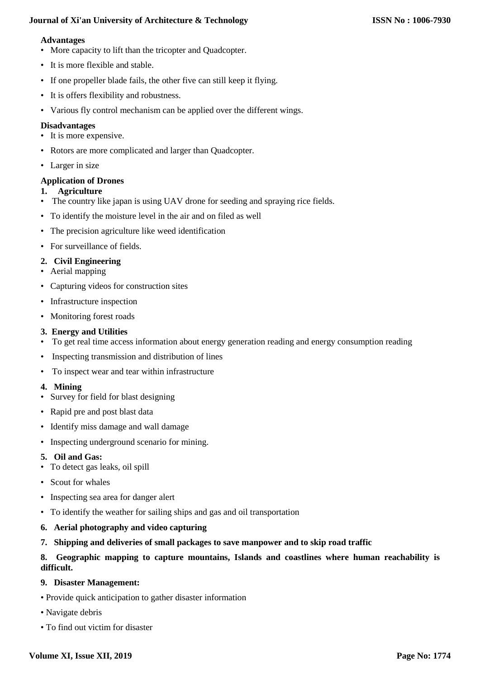#### **Advantages**

- More capacity to lift than the tricopter and Quadcopter.
- It is more flexible and stable.
- If one propeller blade fails, the other five can still keep it flying.
- It is offers flexibility and robustness.
- Various fly control mechanism can be applied over the different wings.

## **Disadvantages**

- It is more expensive.
- Rotors are more complicated and larger than Quadcopter.
- Larger in size

## **Application of Drones**

#### **1. Agriculture**

- The country like japan is using UAV drone for seeding and spraying rice fields.
- To identify the moisture level in the air and on filed as well
- The precision agriculture like weed identification
- For surveillance of fields.

## **2. Civil Engineering**

- Aerial mapping
- Capturing videos for construction sites
- Infrastructure inspection
- Monitoring forest roads

## **3. Energy and Utilities**

- To get real time access information about energy generation reading and energy consumption reading
- Inspecting transmission and distribution of lines
- To inspect wear and tear within infrastructure

#### **4. Mining**

- Survey for field for blast designing
- Rapid pre and post blast data
- Identify miss damage and wall damage
- Inspecting underground scenario for mining.

#### **5. Oil and Gas:**

- To detect gas leaks, oil spill
- Scout for whales
- Inspecting sea area for danger alert
- To identify the weather for sailing ships and gas and oil transportation
- **6. Aerial photography and video capturing**
- **7. Shipping and deliveries of small packages to save manpower and to skip road traffic**

# **8. Geographic mapping to capture mountains, Islands and coastlines where human reachability is difficult.**

#### **9. Disaster Management:**

- Provide quick anticipation to gather disaster information
- Navigate debris
- To find out victim for disaster